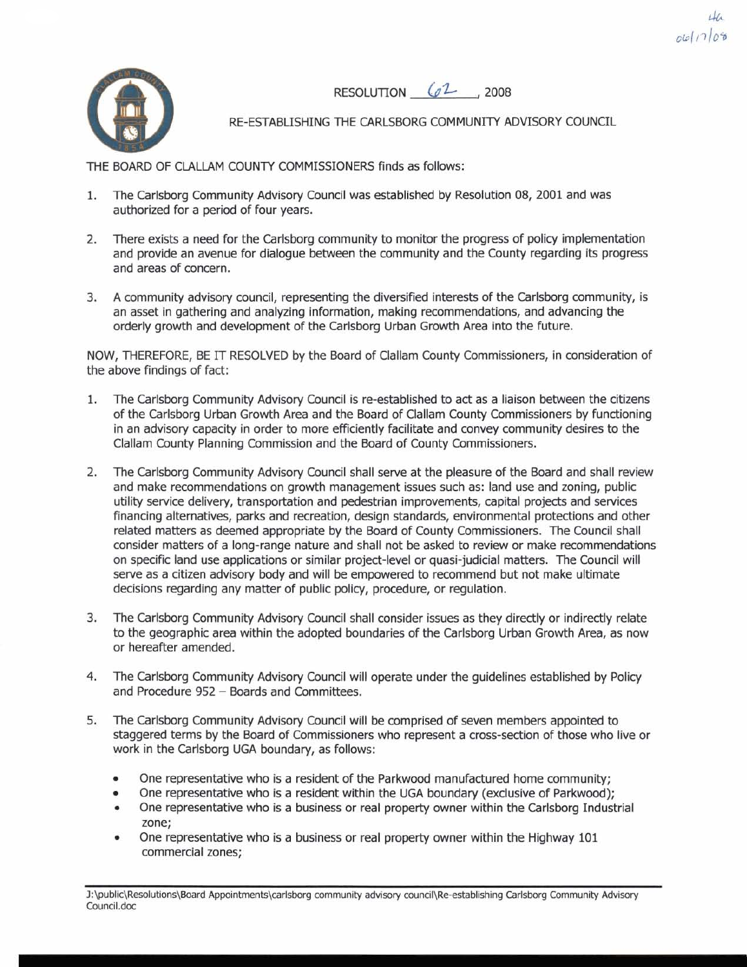**RESOLUTION**  $62$  , 2008

 $061706$ 



RE-ESTABLISHING THE CARLSBORG COMMUNITY ADVISORY COUNCIL

THE BOARD OF CLALLAM COUNTY COMMISSIONERS finds as follows:

- 1. The Carlsborg Community Advisory Council was established by Resolution 08, 2001 and was authorized for a period of four years.
- **2.** There exists a need for the Carlsborg community to monitor the progress of policy implementation and provide an avenue for dialogue between the community and the County regarding its progress and areas of concern.
- **3.** A community advisory council, representing the diversified interests of the Carlsborg community, is an asset in gathering and analyzing information, making recommendations, and advancing the orderly growth and development of the Carlsborg Urban Growth Area into the future.

NOW, THEREFORE, BE **IT** RESOLVED by the Board of Clallam County Commissioners, in consideration of the above findings of fact:

- 1. The Carlsborg Community Advisory Council is re-established to act as a liaison between the citizens of the Carlsborg Urban Growth Area and the Board of Clallam County Commissioners by functioning in an advisory capacity in order to more efficiently facilitate and convey community desires to the Clallam County Planning Commission and the Board of County Commissioners.
- The Carlsborg Community Advisory Council shall serve at the pleasure of the Board and shall review  $\mathcal{L}$ and make recommendations on growth management issues such as: land use and zoning, public utility service delivery, transportation and pedestrian improvements, capital projects and services financing alternatives, parks and recreation, design standards, environmental protections and other related matters as deemed appropriate by the Board of County Commissioners. The Council shall consider matters of a long-range nature and shall not be asked to review or make recommendations on specific land use applications or similar project-level or quasi-judicial matters. The Council will serve as a citizen advisory body and will be empowered to recommend but not make ultimate decisions regarding any matter of public policy, procedure, or regulation.
- **3.** The Carlsborg Community Advisory Council shall consider issues as they directly or indirectly relate to the geographic area within the adopted boundaries of the Carlsborg Urban Growth Area, as now or hereafter amended.
- **4.** The Carlsborg Community Advisory Council will operate under the guidelines established by Policy and Procedure 952 - Boards and Committees.
- **5.** The Carlsborg Community Advisory Council will be comprised of seven members appointed to staggered terms by the Board of Commissioners who represent a cross-section of those who live or work in the Carlsborg UGA boundary, as follows:
	- One representative who is a resident of the Parkwood manufactured home community;
	- $\bullet$ One representative who is a resident within the UGA boundary (exclusive of Parkwood);
	- ä One representative who is a business or real property owner within the Carlsborg Industrial zone;
	- One representative who is a business or real property owner within the Highway 101  $\bullet$ commercial zones;

**J:\public\Resolutions\Board Appointments\carlsborg community advisory council\Re-establishing Carlsborg Community Advisory Council.doc**